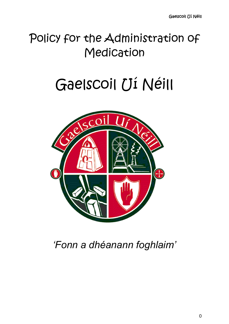# Policy for the Administration of Medication

# Gaelscoil Uí Néill



# *'Fonn a dhéanann foghlaim'*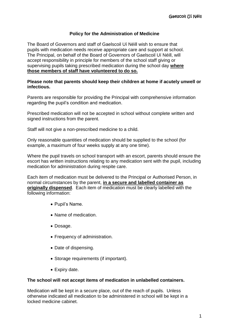## **Policy for the Administration of Medicine**

The Board of Governors and staff of Gaelscoil Uí Néill wish to ensure that pupils with medication needs receive appropriate care and support at school. The Principal, on behalf of the Board of Governors of Gaelscoil Uí Néill, will accept responsibility in principle for members of the school staff giving or supervising pupils taking prescribed medication during the school day **where those members of staff have volunteered to do so.**

### **Please note that parents should keep their children at home if acutely unwell or infectious.**

Parents are responsible for providing the Principal with comprehensive information regarding the pupil's condition and medication.

Prescribed medication will not be accepted in school without complete written and signed instructions from the parent.

Staff will not give a non-prescribed medicine to a child.

Only reasonable quantities of medication should be supplied to the school (for example, a maximum of four weeks supply at any one time).

Where the pupil travels on school transport with an escort, parents should ensure the escort has written instructions relating to any medication sent with the pupil, including medication for administration during respite care.

Each item of medication must be delivered to the Principal or Authorised Person, in normal circumstances by the parent, **in a secure and labelled container as originally dispensed**. Each item of medication must be clearly labelled with the following information:

- Pupil's Name.
- Name of medication.
- Dosage.
- Frequency of administration.
- Date of dispensing.
- Storage requirements (if important).
- Expiry date.

### **The school will not accept items of medication in unlabelled containers.**

Medication will be kept in a secure place, out of the reach of pupils. Unless otherwise indicated all medication to be administered in school will be kept in a locked medicine cabinet.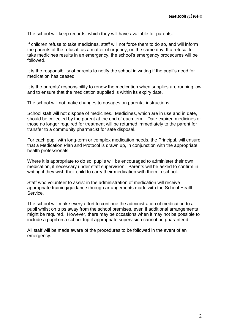The school will keep records, which they will have available for parents.

If children refuse to take medicines, staff will not force them to do so, and will inform the parents of the refusal, as a matter of urgency, on the same day. If a refusal to take medicines results in an emergency, the school's emergency procedures will be followed.

It is the responsibility of parents to notify the school in writing if the pupil's need for medication has ceased.

It is the parents' responsibility to renew the medication when supplies are running low and to ensure that the medication supplied is within its expiry date.

The school will not make changes to dosages on parental instructions.

School staff will not dispose of medicines. Medicines, which are in use and in date, should be collected by the parent at the end of each term. Date expired medicines or those no longer required for treatment will be returned immediately to the parent for transfer to a community pharmacist for safe disposal.

For each pupil with long-term or complex medication needs, the Principal, will ensure that a Medication Plan and Protocol is drawn up, in conjunction with the appropriate health professionals.

Where it is appropriate to do so, pupils will be encouraged to administer their own medication, if necessary under staff supervision. Parents will be asked to confirm in writing if they wish their child to carry their medication with them in school.

Staff who volunteer to assist in the administration of medication will receive appropriate training/guidance through arrangements made with the School Health Service.

The school will make every effort to continue the administration of medication to a pupil whilst on trips away from the school premises, even if additional arrangements might be required. However, there may be occasions when it may not be possible to include a pupil on a school trip if appropriate supervision cannot be guaranteed.

All staff will be made aware of the procedures to be followed in the event of an emergency.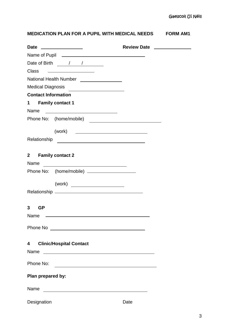# **MEDICATION PLAN FOR A PUPIL WITH MEDICAL NEEDS FORM AM1**

|                                                                                                                                 | Review Date _______________ |  |
|---------------------------------------------------------------------------------------------------------------------------------|-----------------------------|--|
|                                                                                                                                 |                             |  |
|                                                                                                                                 |                             |  |
| Class <u>__________________</u>                                                                                                 |                             |  |
| National Health Number ________________                                                                                         |                             |  |
| Medical Diagnosis                                                                                                               |                             |  |
| <b>Contact Information</b>                                                                                                      |                             |  |
| <b>Family contact 1</b><br>$1 \quad$                                                                                            |                             |  |
| <u> The Communication of the Communication of the Communication of the Communication of the Communication of the Co</u><br>Name |                             |  |
| Phone No: (home/mobile)                                                                                                         |                             |  |
| (work) <u>__________________________________</u>                                                                                |                             |  |
|                                                                                                                                 |                             |  |
|                                                                                                                                 |                             |  |
| 2 Family contact 2                                                                                                              |                             |  |
| Name<br><u> 1989 - Johann Barn, fransk politik fotograf (d. 1989)</u>                                                           |                             |  |
| Phone No: (home/mobile) _____________________                                                                                   |                             |  |
|                                                                                                                                 |                             |  |
| (work)                                                                                                                          |                             |  |
|                                                                                                                                 |                             |  |
| 3<br><b>GP</b>                                                                                                                  |                             |  |
| Name                                                                                                                            |                             |  |
|                                                                                                                                 |                             |  |
|                                                                                                                                 |                             |  |
|                                                                                                                                 |                             |  |
| <b>Clinic/Hospital Contact</b><br>4                                                                                             |                             |  |
| Name<br><u> Alexandria de la contrada de la contrada de la contrada de la contrada de la contrada de la contrada de la c</u>    |                             |  |
| Phone No:                                                                                                                       |                             |  |
| Plan prepared by:                                                                                                               |                             |  |
|                                                                                                                                 |                             |  |
| Name<br><u> 1980 - Andrea State Barbara, amerikan personal di sebagai personal di sebagai personal di sebagai personal d</u>    |                             |  |
| Designation                                                                                                                     | Date                        |  |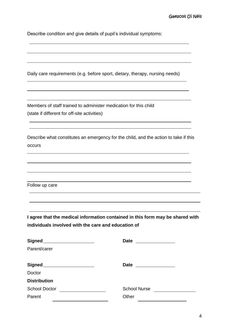Describe condition and give details of pupil's individual symptoms:

Daily care requirements (e.g. before sport, dietary, therapy, nursing needs)

Members of staff trained to administer medication for this child (state if different for off-site activities)

Describe what constitutes an emergency for the child, and the action to take if this occurs

Follow up care

**I agree that the medical information contained in this form may be shared with individuals involved with the care and education of**

| Signed <sub>2</sub>  | <b>Date</b><br><u> 1980 - Andrea Aonaich, ann an t-Èireann an t-Èireann an t-Èireann an t-Èireann an t-Èireann an t-Èireann an t-Èireann an t-Èireann an t-Èireann an t-Èireann an t-Èireann an t-Èireann an t-Èireann an t-Èireann an t-Èirean</u> |
|----------------------|-----------------------------------------------------------------------------------------------------------------------------------------------------------------------------------------------------------------------------------------------------|
| Parent/carer         |                                                                                                                                                                                                                                                     |
|                      | Date _______________                                                                                                                                                                                                                                |
| Doctor               |                                                                                                                                                                                                                                                     |
| <b>Distribution</b>  |                                                                                                                                                                                                                                                     |
| <b>School Doctor</b> | <b>School Nurse</b>                                                                                                                                                                                                                                 |
| Parent               | Other                                                                                                                                                                                                                                               |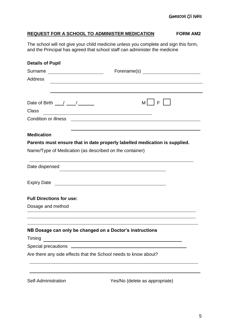# **REQUEST FOR A SCHOOL TO ADMINISTER MEDICATION FORM AM2**

The school will not give your child medicine unless you complete and sign this form, and the Principal has agreed that school staff can administer the medicine

| <b>Details of Pupil</b>                                         |                                                                                                                      |  |  |  |
|-----------------------------------------------------------------|----------------------------------------------------------------------------------------------------------------------|--|--|--|
| Surname _______________________                                 |                                                                                                                      |  |  |  |
| <b>Address</b>                                                  |                                                                                                                      |  |  |  |
|                                                                 |                                                                                                                      |  |  |  |
| Date of Birth $\frac{1}{\sqrt{2}}$<br><b>Class</b>              | M F                                                                                                                  |  |  |  |
| <b>Condition or illness</b>                                     |                                                                                                                      |  |  |  |
| <b>Medication</b>                                               | and the control of the control of the control of the control of the control of the control of the control of the     |  |  |  |
|                                                                 | Parents must ensure that in date properly labelled medication is supplied.                                           |  |  |  |
| Name/Type of Medication (as described on the container)         |                                                                                                                      |  |  |  |
| Date dispensed                                                  |                                                                                                                      |  |  |  |
|                                                                 |                                                                                                                      |  |  |  |
| <b>Full Directions for use:</b>                                 |                                                                                                                      |  |  |  |
| Dosage and method                                               |                                                                                                                      |  |  |  |
|                                                                 |                                                                                                                      |  |  |  |
| NB Dosage can only be changed on a Doctor's instructions        |                                                                                                                      |  |  |  |
| Timing                                                          | <u> 1989 - Jan Samuel Barbara, martin da shekara tsa 1989 - An tsa 1989 - An tsa 1989 - An tsa 1989 - An tsa 198</u> |  |  |  |
|                                                                 |                                                                                                                      |  |  |  |
| Are there any side effects that the School needs to know about? |                                                                                                                      |  |  |  |
|                                                                 |                                                                                                                      |  |  |  |
|                                                                 |                                                                                                                      |  |  |  |

Self-Administration Yes/No (delete as appropriate)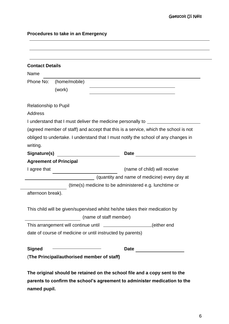# **Procedures to take in an Emergency**

| <b>Contact Details</b>       |                                              |                                                                                     |
|------------------------------|----------------------------------------------|-------------------------------------------------------------------------------------|
| Name                         |                                              |                                                                                     |
| Phone No:                    | (home/mobile)                                |                                                                                     |
|                              | (work)                                       |                                                                                     |
| <b>Relationship to Pupil</b> |                                              |                                                                                     |
| <b>Address</b>               |                                              |                                                                                     |
|                              |                                              | I understand that I must deliver the medicine personally to ____________________    |
|                              |                                              | (agreed member of staff) and accept that this is a service, which the school is not |
|                              |                                              | obliged to undertake. I understand that I must notify the school of any changes in  |
| writing.                     |                                              |                                                                                     |
| Signature(s)                 | <u> 1990 - Johann Barn, fransk politik (</u> |                                                                                     |
|                              | <b>Agreement of Principal</b>                |                                                                                     |
| I agree that                 |                                              | (name of child) will receive                                                        |
|                              |                                              | (quantity and name of medicine) every day at                                        |
|                              |                                              | (time(s) medicine to be administered e.g. lunchtime or                              |
| afternoon break).            |                                              |                                                                                     |
|                              |                                              |                                                                                     |
|                              |                                              | This child will be given/supervised whilst he/she takes their medication by         |
|                              |                                              | (name of staff member)                                                              |
|                              |                                              | This arrangement will continue until ___________________(either end                 |
|                              |                                              | date of course of medicine or until instructed by parents)                          |
|                              |                                              | Date                                                                                |
| <b>Signed</b>                |                                              |                                                                                     |

**The original should be retained on the school file and a copy sent to the parents to confirm the school's agreement to administer medication to the named pupil.**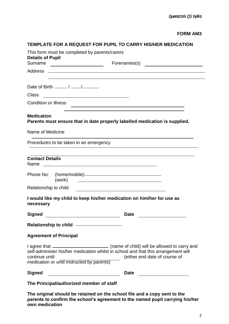# **TEMPLATE FOR A REQUEST FOR PUPIL TO CARRY HIS/HER MEDICATION**

| This form must be completed by parents/carers<br><b>Details of Pupil</b>                                                                                                                                                                                           |                                                                                                                      |
|--------------------------------------------------------------------------------------------------------------------------------------------------------------------------------------------------------------------------------------------------------------------|----------------------------------------------------------------------------------------------------------------------|
| Surname<br><u> </u>                                                                                                                                                                                                                                                |                                                                                                                      |
|                                                                                                                                                                                                                                                                    |                                                                                                                      |
|                                                                                                                                                                                                                                                                    |                                                                                                                      |
| Date of Birth $\frac{1}{\sqrt{1-\frac{1}{2}}}\sqrt{1-\frac{1}{2}}$                                                                                                                                                                                                 |                                                                                                                      |
| <b>Class</b>                                                                                                                                                                                                                                                       |                                                                                                                      |
| <b>Condition or illness</b>                                                                                                                                                                                                                                        |                                                                                                                      |
| <b>Medication</b><br>Parents must ensure that in date properly labelled medication is supplied.                                                                                                                                                                    |                                                                                                                      |
| Name of Medicine                                                                                                                                                                                                                                                   |                                                                                                                      |
| Procedures to be taken in an emergency                                                                                                                                                                                                                             |                                                                                                                      |
| <b>Contact Details</b>                                                                                                                                                                                                                                             |                                                                                                                      |
| Phone No:<br>(work)                                                                                                                                                                                                                                                | <u> 1989 - Johann Stein, mars an deutscher Stein und der Stein und der Stein und der Stein und der Stein und der</u> |
| Relationship to child                                                                                                                                                                                                                                              |                                                                                                                      |
| I would like my child to keep his/her medication on him/her for use as<br>necessary                                                                                                                                                                                |                                                                                                                      |
| <b>Signed</b>                                                                                                                                                                                                                                                      | <b>Date</b>                                                                                                          |
| Relationship to child _________________                                                                                                                                                                                                                            |                                                                                                                      |
| <b>Agreement of Principal</b>                                                                                                                                                                                                                                      |                                                                                                                      |
| I agree that ______________________________ (name of child) will be allowed to carry and<br>self-administer his/her medication whilst in school and that this arrangement will<br>continue until<br><u>a sa sala</u><br>medication or until instructed by parents) | (either end date of course of                                                                                        |
| <b>Signed</b>                                                                                                                                                                                                                                                      | <b>Date</b>                                                                                                          |
| The Principal/authorized member of staff                                                                                                                                                                                                                           |                                                                                                                      |

**The original should be retained on the school file and a copy sent to the parents to confirm the school's agreement to the named pupil carrying his/her own medication**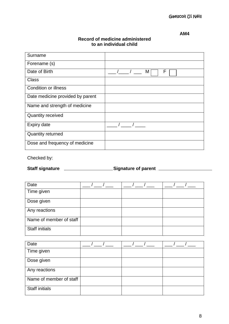# **AM4**

| Surname                          |        |
|----------------------------------|--------|
| Forename (s)                     |        |
| Date of Birth                    | F<br>M |
| <b>Class</b>                     |        |
| <b>Condition or illness</b>      |        |
| Date medicine provided by parent |        |
| Name and strength of medicine    |        |
| <b>Quantity received</b>         |        |
| <b>Expiry date</b>               |        |
| <b>Quantity returned</b>         |        |
| Dose and frequency of medicine   |        |

# **Record of medicine administered to an individual child**

Checked by:

Staff signature <u>\_\_\_\_\_\_\_\_\_\_\_\_\_\_\_\_\_\_\_\_\_\_\_\_\_Signature of parent \_\_\_\_\_\_\_\_\_\_\_\_\_\_\_\_\_\_\_</u>

| Date                    |  |  |
|-------------------------|--|--|
| Time given              |  |  |
| Dose given              |  |  |
| Any reactions           |  |  |
| Name of member of staff |  |  |
| <b>Staff initials</b>   |  |  |

| Date                    |  |  |
|-------------------------|--|--|
| Time given              |  |  |
| Dose given              |  |  |
| Any reactions           |  |  |
| Name of member of staff |  |  |
| <b>Staff initials</b>   |  |  |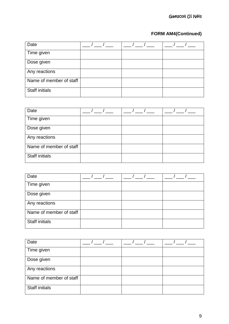# **FORM AM4(Continued)**

| Date                    |  |  |
|-------------------------|--|--|
| Time given              |  |  |
| Dose given              |  |  |
| Any reactions           |  |  |
| Name of member of staff |  |  |
| <b>Staff initials</b>   |  |  |

| Date                    |  |  |
|-------------------------|--|--|
| Time given              |  |  |
| Dose given              |  |  |
| Any reactions           |  |  |
| Name of member of staff |  |  |
| <b>Staff initials</b>   |  |  |

| Date                    |  |  |
|-------------------------|--|--|
| Time given              |  |  |
| Dose given              |  |  |
| Any reactions           |  |  |
| Name of member of staff |  |  |
| <b>Staff initials</b>   |  |  |

| Date                    |  |  |
|-------------------------|--|--|
| Time given              |  |  |
| Dose given              |  |  |
| Any reactions           |  |  |
| Name of member of staff |  |  |
| <b>Staff initials</b>   |  |  |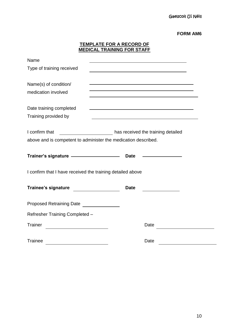|                                                                                                                | <b>TEMPLATE FOR A RECORD OF</b><br><b>MEDICAL TRAINING FOR STAFF</b>                                                                                                                                                          |  |  |
|----------------------------------------------------------------------------------------------------------------|-------------------------------------------------------------------------------------------------------------------------------------------------------------------------------------------------------------------------------|--|--|
| Name                                                                                                           | <u> 1989 - Johann Barn, amerikansk politiker (d. 1989)</u>                                                                                                                                                                    |  |  |
| Type of training received                                                                                      |                                                                                                                                                                                                                               |  |  |
|                                                                                                                | <u> 1989 - Johann Stoff, deutscher Stoff, der Stoff, der Stoff, der Stoff, der Stoff, der Stoff, der Stoff, der S</u>                                                                                                         |  |  |
| Name(s) of condition/<br>medication involved                                                                   | the control of the control of the control of the control of the control of the control of the control of the control of the control of the control of the control of the control of the control of the control of the control |  |  |
|                                                                                                                | <u> 1989 - Johann Stoff, Amerikaansk politiker († 1908)</u>                                                                                                                                                                   |  |  |
| Date training completed                                                                                        | and the control of the control of the control of the control of the control of the control of the control of the                                                                                                              |  |  |
| Training provided by                                                                                           |                                                                                                                                                                                                                               |  |  |
|                                                                                                                |                                                                                                                                                                                                                               |  |  |
| I confirm that                                                                                                 | has received the training detailed                                                                                                                                                                                            |  |  |
| above and is competent to administer the medication described.                                                 |                                                                                                                                                                                                                               |  |  |
|                                                                                                                |                                                                                                                                                                                                                               |  |  |
| Trainer's signature - Contract Contract Date - Contract Contract Contract Date - Contract Contract Contract Co |                                                                                                                                                                                                                               |  |  |
| I confirm that I have received the training detailed above                                                     |                                                                                                                                                                                                                               |  |  |
| <b>Trainee's signature</b>                                                                                     | <b>Date</b>                                                                                                                                                                                                                   |  |  |
| Proposed Retraining Date _______________                                                                       |                                                                                                                                                                                                                               |  |  |
| Refresher Training Completed -                                                                                 |                                                                                                                                                                                                                               |  |  |
| Trainer                                                                                                        | Date                                                                                                                                                                                                                          |  |  |
|                                                                                                                |                                                                                                                                                                                                                               |  |  |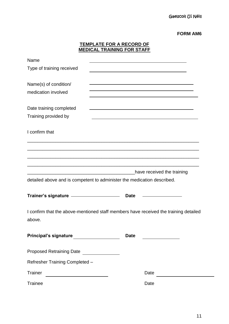|                                                                                      | <b>TEMPLATE FOR A RECORD OF</b><br><b>MEDICAL TRAINING FOR STAFF</b> |                                                            |  |
|--------------------------------------------------------------------------------------|----------------------------------------------------------------------|------------------------------------------------------------|--|
| Name                                                                                 |                                                                      |                                                            |  |
| Type of training received                                                            |                                                                      |                                                            |  |
|                                                                                      |                                                                      |                                                            |  |
| Name(s) of condition/                                                                |                                                                      | <u> 1989 - Johann Barn, amerikansk politiker (d. 1989)</u> |  |
| medication involved                                                                  |                                                                      |                                                            |  |
|                                                                                      |                                                                      |                                                            |  |
| Date training completed                                                              |                                                                      |                                                            |  |
| Training provided by                                                                 |                                                                      |                                                            |  |
| I confirm that                                                                       |                                                                      |                                                            |  |
|                                                                                      |                                                                      |                                                            |  |
|                                                                                      |                                                                      |                                                            |  |
|                                                                                      |                                                                      |                                                            |  |
|                                                                                      |                                                                      |                                                            |  |
|                                                                                      |                                                                      | have received the training                                 |  |
| detailed above and is competent to administer the medication described.              |                                                                      |                                                            |  |
| Trainer's signature - Trainer's signature - Trainer's signature - Trainer            | <b>Date</b>                                                          |                                                            |  |
|                                                                                      |                                                                      |                                                            |  |
| I confirm that the above-mentioned staff members have received the training detailed |                                                                      |                                                            |  |
| above.                                                                               |                                                                      |                                                            |  |
|                                                                                      |                                                                      |                                                            |  |
| Principal's signature ______________                                                 | <b>Date</b>                                                          |                                                            |  |
|                                                                                      |                                                                      |                                                            |  |
| Proposed Retraining Date _______________                                             |                                                                      |                                                            |  |
| Refresher Training Completed -                                                       |                                                                      |                                                            |  |
| <b>Trainer</b><br><u> 1989 - Johann Barbara, martxa alemaniar a</u>                  |                                                                      | Date                                                       |  |
| <b>Trainee</b>                                                                       |                                                                      | Date                                                       |  |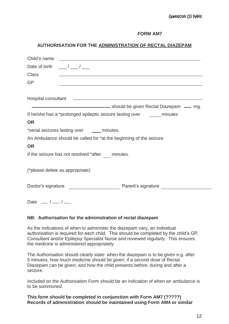## **AUTHORISATION FOR THE ADMINISTRATION OF RECTAL DIAZEPAM**

| Child's name                                | <u> 1989 - Andrea Aonaichte ann an t-</u>                                                                              |
|---------------------------------------------|------------------------------------------------------------------------------------------------------------------------|
| Date of birth $\frac{1}{2}$ / $\frac{1}{2}$ |                                                                                                                        |
| <b>Class</b>                                | <u> 1989 - Johann John Stone, Amerikaansk politiker († 1908)</u>                                                       |
| <b>GP</b>                                   | <u> 1989 - Johann Stoff, deutscher Stoffen und der Stoffen und der Stoffen und der Stoffen und der Stoffen und der</u> |
|                                             | Hospital consultant Learning and Consultant Consultant Consultant Consultant Consultant Consultant Consultant          |
|                                             |                                                                                                                        |
|                                             | If he/she has a *prolonged epileptic seizure lasting over ________ minutes                                             |
| <b>OR</b>                                   |                                                                                                                        |
|                                             | *serial seizures lasting over _____ minutes.                                                                           |
| <b>OR</b>                                   | An Ambulance should be called for *at the beginning of the seizure                                                     |
|                                             | If the seizure has not resolved *after minutes.                                                                        |
| (*please delete as appropriate)             |                                                                                                                        |
|                                             |                                                                                                                        |
| Date $\frac{1}{1}$ / $\frac{1}{1}$          |                                                                                                                        |

#### **NB: Authorisation for the administration of rectal diazepam**

As the indications of when to administer the diazepam vary, an individual authorisation is required for each child. This should be completed by the child's GP, Consultant and/or Epilepsy Specialist Nurse and reviewed regularly. This ensures the medicine is administered appropriately.

The Authorisation should clearly state: when the diazepam is to be given e.g. after 5 minutes; how much medicine should be given; if a second dose of Rectal Diazepam can be given; and how the child presents before, during and after a seizure.

Included on the Authorisation Form should be an indication of when an ambulance is to be summoned.

**This form should be completed in conjunction with Form AM7 (?????) Records of administration should be maintained using Form AM4 or similar**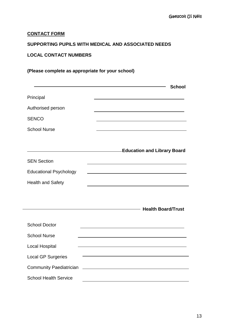# **CONTACT FORM**

# **SUPPORTING PUPILS WITH MEDICAL AND ASSOCIATED NEEDS**

# **LOCAL CONTACT NUMBERS**

# **(Please complete as appropriate for your school)**

|                                | <b>School</b>                                                                                                        |
|--------------------------------|----------------------------------------------------------------------------------------------------------------------|
| Principal                      |                                                                                                                      |
| Authorised person              |                                                                                                                      |
| <b>SENCO</b>                   |                                                                                                                      |
| <b>School Nurse</b>            | <u> 1980 - Johann Barn, mars an t-Amerikaansk politiker (</u>                                                        |
|                                |                                                                                                                      |
|                                | <b>Education and Library Board</b>                                                                                   |
| <b>SEN Section</b>             |                                                                                                                      |
| <b>Educational Psychology</b>  |                                                                                                                      |
| <b>Health and Safety</b>       |                                                                                                                      |
|                                |                                                                                                                      |
|                                | <b>Health Board/Trust</b>                                                                                            |
|                                |                                                                                                                      |
| <b>School Doctor</b>           |                                                                                                                      |
| <b>School Nurse</b>            |                                                                                                                      |
| <b>Local Hospital</b>          | <u> 1980 - Johann Stein, marwolaethau a bhann an t-Amhair ann an t-Amhair an t-Amhair an t-Amhair an t-Amhair an</u> |
| <b>Local GP Surgeries</b>      |                                                                                                                      |
| <b>Community Paediatrician</b> | <u> 1980 - Johann Barnett, fransk politiker (</u>                                                                    |
| <b>School Health Service</b>   | <u> 1989 - Johann Barbara, martxa eta idazlea (h. 1989).</u>                                                         |
|                                |                                                                                                                      |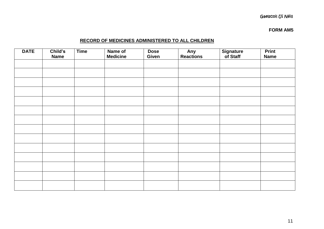# Gaelscoil Uí Néill

**FORM AM5**

# **RECORD OF MEDICINES ADMINISTERED TO ALL CHILDREN**

| <b>DATE</b> | Child's<br><b>Name</b> | <b>Time</b> | Name of<br><b>Medicine</b> | <b>Dose</b><br>Given | Any<br>Reactions | Signature<br>of Staff | <b>Print</b><br><b>Name</b> |
|-------------|------------------------|-------------|----------------------------|----------------------|------------------|-----------------------|-----------------------------|
|             |                        |             |                            |                      |                  |                       |                             |
|             |                        |             |                            |                      |                  |                       |                             |
|             |                        |             |                            |                      |                  |                       |                             |
|             |                        |             |                            |                      |                  |                       |                             |
|             |                        |             |                            |                      |                  |                       |                             |
|             |                        |             |                            |                      |                  |                       |                             |
|             |                        |             |                            |                      |                  |                       |                             |
|             |                        |             |                            |                      |                  |                       |                             |
|             |                        |             |                            |                      |                  |                       |                             |
|             |                        |             |                            |                      |                  |                       |                             |
|             |                        |             |                            |                      |                  |                       |                             |
|             |                        |             |                            |                      |                  |                       |                             |
|             |                        |             |                            |                      |                  |                       |                             |
|             |                        |             |                            |                      |                  |                       |                             |